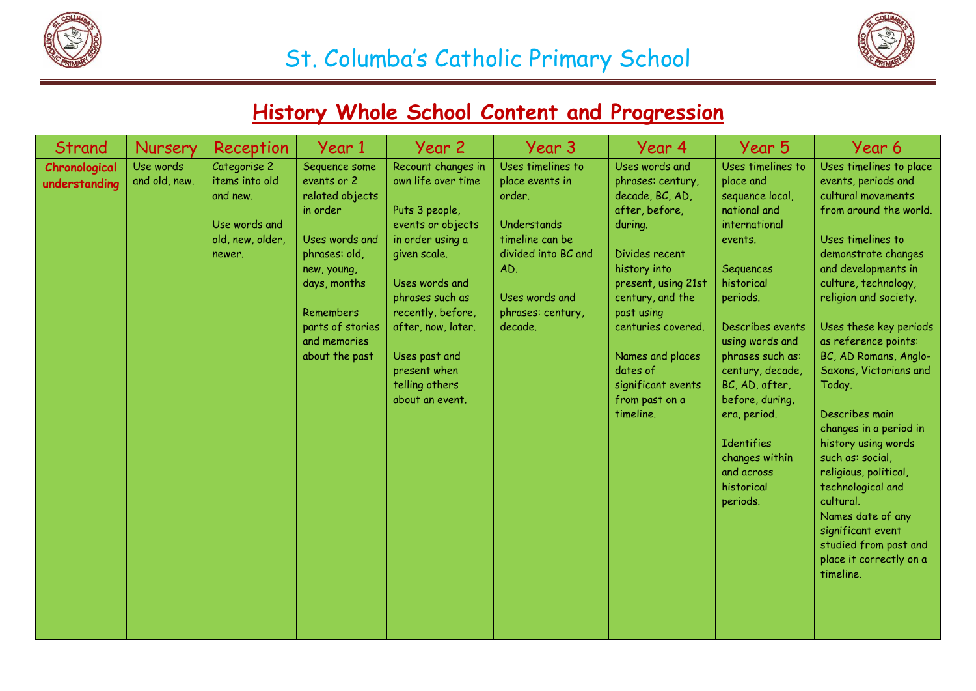



#### **History Whole School Content and Progression**

| Strand                         | Nursery                    | Reception                                                                                 | Year 1                                                                                                                                                                                           | Year 2                                                                                                                                                                                                                                                                    | Year 3                                                                                                                                                           | Year 4                                                                                                                                                                                                                                                                                    | Year 5                                                                                                                                                                                                                                                                                                                                                  | Year 6                                                                                                                                                                                                                                                                                                                                                                                                                                                                                                                                                                                         |
|--------------------------------|----------------------------|-------------------------------------------------------------------------------------------|--------------------------------------------------------------------------------------------------------------------------------------------------------------------------------------------------|---------------------------------------------------------------------------------------------------------------------------------------------------------------------------------------------------------------------------------------------------------------------------|------------------------------------------------------------------------------------------------------------------------------------------------------------------|-------------------------------------------------------------------------------------------------------------------------------------------------------------------------------------------------------------------------------------------------------------------------------------------|---------------------------------------------------------------------------------------------------------------------------------------------------------------------------------------------------------------------------------------------------------------------------------------------------------------------------------------------------------|------------------------------------------------------------------------------------------------------------------------------------------------------------------------------------------------------------------------------------------------------------------------------------------------------------------------------------------------------------------------------------------------------------------------------------------------------------------------------------------------------------------------------------------------------------------------------------------------|
| Chronological<br>understanding | Use words<br>and old, new. | Categorise 2<br>items into old<br>and new.<br>Use words and<br>old, new, older,<br>newer. | Sequence some<br>events or 2<br>related objects<br>in order<br>Uses words and<br>phrases: old,<br>new, young,<br>days, months<br>Remembers<br>parts of stories<br>and memories<br>about the past | Recount changes in<br>own life over time<br>Puts 3 people,<br>events or objects<br>in order using a<br>given scale.<br>Uses words and<br>phrases such as<br>recently, before,<br>after, now, later.<br>Uses past and<br>present when<br>telling others<br>about an event. | Uses timelines to<br>place events in<br>order.<br>Understands<br>timeline can be<br>divided into BC and<br>AD.<br>Uses words and<br>phrases: century,<br>decade. | Uses words and<br>phrases: century,<br>decade, BC, AD,<br>after, before,<br>during.<br>Divides recent<br>history into<br>present, using 21st<br>century, and the<br>past using<br>centuries covered.<br>Names and places<br>dates of<br>significant events<br>from past on a<br>timeline. | Uses timelines to<br>place and<br>sequence local,<br>national and<br>international<br>events.<br>Sequences<br>historical<br>periods.<br>Describes events<br>using words and<br>phrases such as:<br>century, decade,<br>BC, AD, after,<br>before, during,<br>era, period.<br><b>Identifies</b><br>changes within<br>and across<br>historical<br>periods. | Uses timelines to place<br>events, periods and<br>cultural movements<br>from around the world.<br>Uses timelines to<br>demonstrate changes<br>and developments in<br>culture, technology,<br>religion and society.<br>Uses these key periods<br>as reference points:<br>BC, AD Romans, Anglo-<br>Saxons, Victorians and<br>Today.<br>Describes main<br>changes in a period in<br>history using words<br>such as: social,<br>religious, political,<br>technological and<br>cultural.<br>Names date of any<br>significant event<br>studied from past and<br>place it correctly on a<br>timeline. |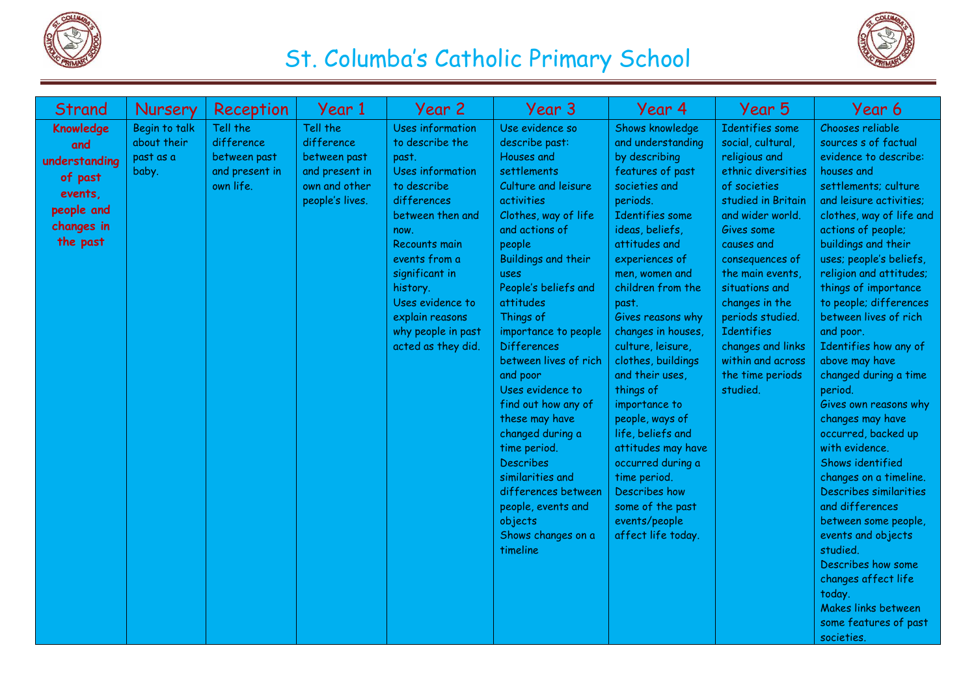



| Strand                                                                                          | Nursery                                            | Reception                                                             | Year 1                                                                                       | Year 2                                                                                                                                                                                                                                                                               | Year 3                                                                                                                                                                                                                                                                                                                                                                                                                                                                                                                                                         | Year 4                                                                                                                                                                                                                                                                                                                                                                                                                                                                                                                                                | Year 5                                                                                                                                                                                                                                                                                                                                                                 | Year 6                                                                                                                                                                                                                                                                                                                                                                                                                                                                                                                                                                                                                                                                                                                                                                                                   |
|-------------------------------------------------------------------------------------------------|----------------------------------------------------|-----------------------------------------------------------------------|----------------------------------------------------------------------------------------------|--------------------------------------------------------------------------------------------------------------------------------------------------------------------------------------------------------------------------------------------------------------------------------------|----------------------------------------------------------------------------------------------------------------------------------------------------------------------------------------------------------------------------------------------------------------------------------------------------------------------------------------------------------------------------------------------------------------------------------------------------------------------------------------------------------------------------------------------------------------|-------------------------------------------------------------------------------------------------------------------------------------------------------------------------------------------------------------------------------------------------------------------------------------------------------------------------------------------------------------------------------------------------------------------------------------------------------------------------------------------------------------------------------------------------------|------------------------------------------------------------------------------------------------------------------------------------------------------------------------------------------------------------------------------------------------------------------------------------------------------------------------------------------------------------------------|----------------------------------------------------------------------------------------------------------------------------------------------------------------------------------------------------------------------------------------------------------------------------------------------------------------------------------------------------------------------------------------------------------------------------------------------------------------------------------------------------------------------------------------------------------------------------------------------------------------------------------------------------------------------------------------------------------------------------------------------------------------------------------------------------------|
| Knowledge<br>and<br>understanding<br>of past<br>events,<br>people and<br>changes in<br>the past | Begin to talk<br>about their<br>past as a<br>baby. | Tell the<br>difference<br>between past<br>and present in<br>own life. | Tell the<br>difference<br>between past<br>and present in<br>own and other<br>people's lives. | <b>Uses information</b><br>to describe the<br>past.<br>Uses information<br>to describe<br>differences<br>between then and<br>now.<br>Recounts main<br>events from a<br>significant in<br>history.<br>Uses evidence to<br>explain reasons<br>why people in past<br>acted as they did. | Use evidence so<br>describe past:<br>Houses and<br>settlements<br>Culture and leisure<br>activities<br>Clothes, way of life<br>and actions of<br>people<br>Buildings and their<br>uses<br>People's beliefs and<br>attitudes<br>Things of<br>importance to people<br><b>Differences</b><br>between lives of rich<br>and poor<br>Uses evidence to<br>find out how any of<br>these may have<br>changed during a<br>time period.<br><b>Describes</b><br>similarities and<br>differences between<br>people, events and<br>objects<br>Shows changes on a<br>timeline | Shows knowledge<br>and understanding<br>by describing<br>features of past<br>societies and<br>periods.<br>Identifies some<br>ideas, beliefs,<br>attitudes and<br>experiences of<br>men, women and<br>children from the<br>past.<br>Gives reasons why<br>changes in houses,<br>culture, leisure,<br>clothes, buildings<br>and their uses,<br>things of<br>importance to<br>people, ways of<br>life, beliefs and<br>attitudes may have<br>occurred during a<br>time period.<br>Describes how<br>some of the past<br>events/people<br>affect life today. | <b>Identifies</b> some<br>social, cultural,<br>religious and<br>ethnic diversities<br>of societies<br>studied in Britain<br>and wider world.<br>Gives some<br>causes and<br>consequences of<br>the main events,<br>situations and<br>changes in the<br>periods studied.<br><b>Identifies</b><br>changes and links<br>within and across<br>the time periods<br>studied. | Chooses reliable<br>sources s of factual<br>evidence to describe:<br>houses and<br>settlements; culture<br>and leisure activities;<br>clothes, way of life and<br>actions of people;<br>buildings and their<br>uses; people's beliefs,<br>religion and attitudes;<br>things of importance<br>to people; differences<br>between lives of rich<br>and poor.<br>Identifies how any of<br>above may have<br>changed during a time<br>period.<br>Gives own reasons why<br>changes may have<br>occurred, backed up<br>with evidence.<br>Shows identified<br>changes on a timeline.<br>Describes similarities<br>and differences<br>between some people,<br>events and objects<br>studied.<br>Describes how some<br>changes affect life<br>today.<br>Makes links between<br>some features of past<br>societies. |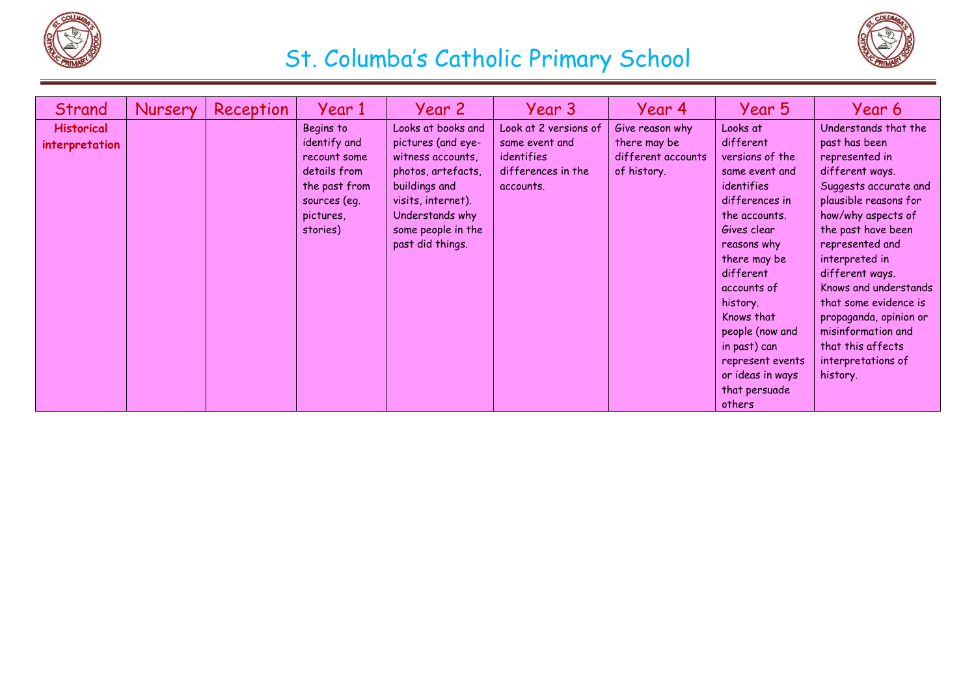



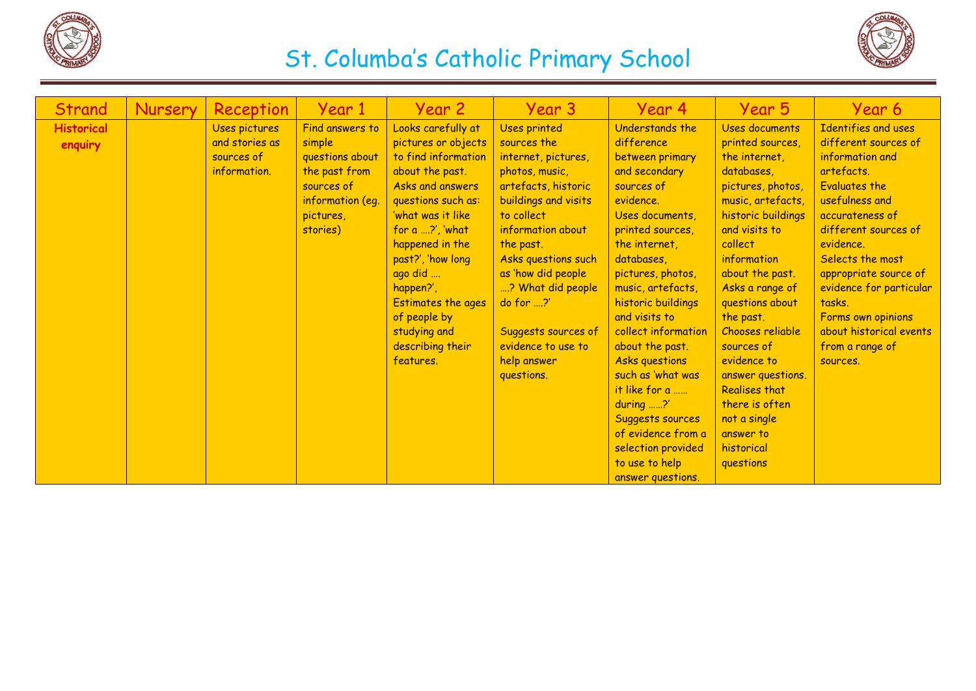



| Strand            | Nursery | Reception      | Year 1           | Year 2                   | Year 3               | Year 4              | Year 5               | Year 6                  |
|-------------------|---------|----------------|------------------|--------------------------|----------------------|---------------------|----------------------|-------------------------|
| <b>Historical</b> |         | Uses pictures  | Find answers to  | Looks carefully at       | <b>Uses printed</b>  | Understands the     | Uses documents       | Identifies and uses     |
| enquiry           |         | and stories as | simple           | pictures or objects      | sources the          | difference          | printed sources,     | different sources of    |
|                   |         | sources of     | questions about  | to find information      | internet, pictures,  | between primary     | the internet,        | information and         |
|                   |         | information.   | the past from    | about the past.          | photos, music,       | and secondary       | databases.           | artefacts.              |
|                   |         |                | sources of       | Asks and answers         | artefacts, historic  | sources of          | pictures, photos,    | <b>Evaluates the</b>    |
|                   |         |                | information (eq. | questions such as:       | buildings and visits | evidence.           | music, artefacts,    | usefulness and          |
|                   |         |                | pictures,        | 'what was it like        | to collect           | Uses documents,     | historic buildings   | accurateness of         |
|                   |         |                | stories)         | for a $\ldots$ ?', 'what | information about    | printed sources,    | and visits to        | different sources of    |
|                   |         |                |                  | happened in the          | the past.            | the internet,       | collect              | evidence.               |
|                   |         |                |                  | past?', 'how long        | Asks questions such  | databases.          | information          | Selects the most        |
|                   |         |                |                  | ago did                  | as 'how did people   | pictures, photos,   | about the past.      | appropriate source of   |
|                   |         |                |                  | happen?',                | ? What did people    | music, artefacts,   | Asks a range of      | evidence for particular |
|                   |         |                |                  | Estimates the ages       | do for ?'            | historic buildings  | questions about      | tasks.                  |
|                   |         |                |                  | of people by             |                      | and visits to       | the past.            | Forms own opinions      |
|                   |         |                |                  | studying and             | Suggests sources of  | collect information | Chooses reliable     | about historical events |
|                   |         |                |                  | describing their         | evidence to use to   | about the past.     | sources of           | from a range of         |
|                   |         |                |                  | features.                | help answer          | Asks questions      | evidence to          | sources.                |
|                   |         |                |                  |                          | questions.           | such as 'what was   | answer questions.    |                         |
|                   |         |                |                  |                          |                      | it like for a       | <b>Realises that</b> |                         |
|                   |         |                |                  |                          |                      | $during$ ?'         | there is often       |                         |
|                   |         |                |                  |                          |                      | Suggests sources    | not a single         |                         |
|                   |         |                |                  |                          |                      | of evidence from a  | answer to            |                         |
|                   |         |                |                  |                          |                      | selection provided  | historical           |                         |
|                   |         |                |                  |                          |                      | to use to help      | questions            |                         |
|                   |         |                |                  |                          |                      | answer questions.   |                      |                         |